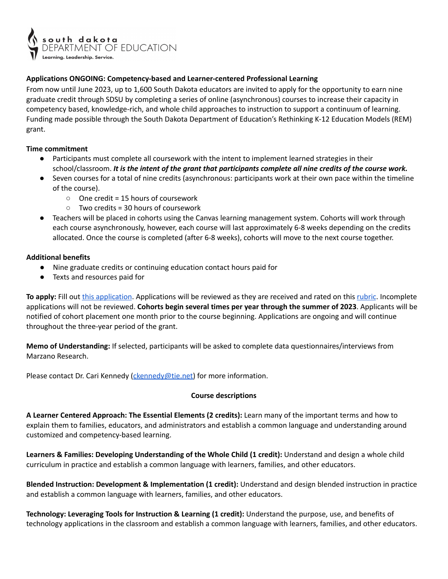

## **Applications ONGOING: Competency-based and Learner-centered Professional Learning**

From now until June 2023, up to 1,600 South Dakota educators are invited to apply for the opportunity to earn nine graduate credit through SDSU by completing a series of online (asynchronous) courses to increase their capacity in competency based, knowledge-rich, and whole child approaches to instruction to support a continuum of learning. Funding made possible through the South Dakota Department of Education's Rethinking K-12 Education Models (REM) grant.

## **Time commitment**

- Participants must complete all coursework with the intent to implement learned strategies in their school/classroom. *It is the intent of the grant that participants complete all nine credits of the course work.*
- Seven courses for a total of nine credits (asynchronous: participants work at their own pace within the timeline of the course).
	- One credit = 15 hours of coursework
	- Two credits = 30 hours of coursework
- Teachers will be placed in cohorts using the Canvas learning management system. Cohorts will work through each course asynchronously, however, each course will last approximately 6-8 weeks depending on the credits allocated. Once the course is completed (after 6-8 weeks), cohorts will move to the next course together.

## **Additional benefits**

- Nine graduate credits or continuing education contact hours paid for
- Texts and resources paid for

**To apply:** Fill out [this application](https://forms.gle/xJgvTktyCZyCPcEi7). Applications will be reviewed as they are received and rated on this [rubric](https://docs.google.com/spreadsheets/d/e/2PACX-1vQVE8SZEmhnXHPdl6BwyWZMFgTIZu27-xy1tlcdFCAQMppaWqsofeFMoJP3-TaJLA7Q-N_3pKdwjR6P/pubhtml). Incomplete applications will not be reviewed. **Cohorts begin several times per year through the summer of 2023**. Applicants will be notified of cohort placement one month prior to the course beginning. Applications are ongoing and will continue throughout the three-year period of the grant.

**Memo of Understanding:** If selected, participants will be asked to complete data questionnaires/interviews from Marzano Research.

Please contact Dr. Cari Kennedy [\(ckennedy@tie.net\)](mailto:ckennedy@tie.net) for more information.

## **Course descriptions**

**A Learner Centered Approach: The Essential Elements (2 credits):** Learn many of the important terms and how to explain them to families, educators, and administrators and establish a common language and understanding around customized and competency-based learning.

**Learners & Families: Developing Understanding of the Whole Child (1 credit):** Understand and design a whole child curriculum in practice and establish a common language with learners, families, and other educators.

**Blended Instruction: Development & Implementation (1 credit):** Understand and design blended instruction in practice and establish a common language with learners, families, and other educators.

**Technology: Leveraging Tools for Instruction & Learning (1 credit):** Understand the purpose, use, and benefits of technology applications in the classroom and establish a common language with learners, families, and other educators.